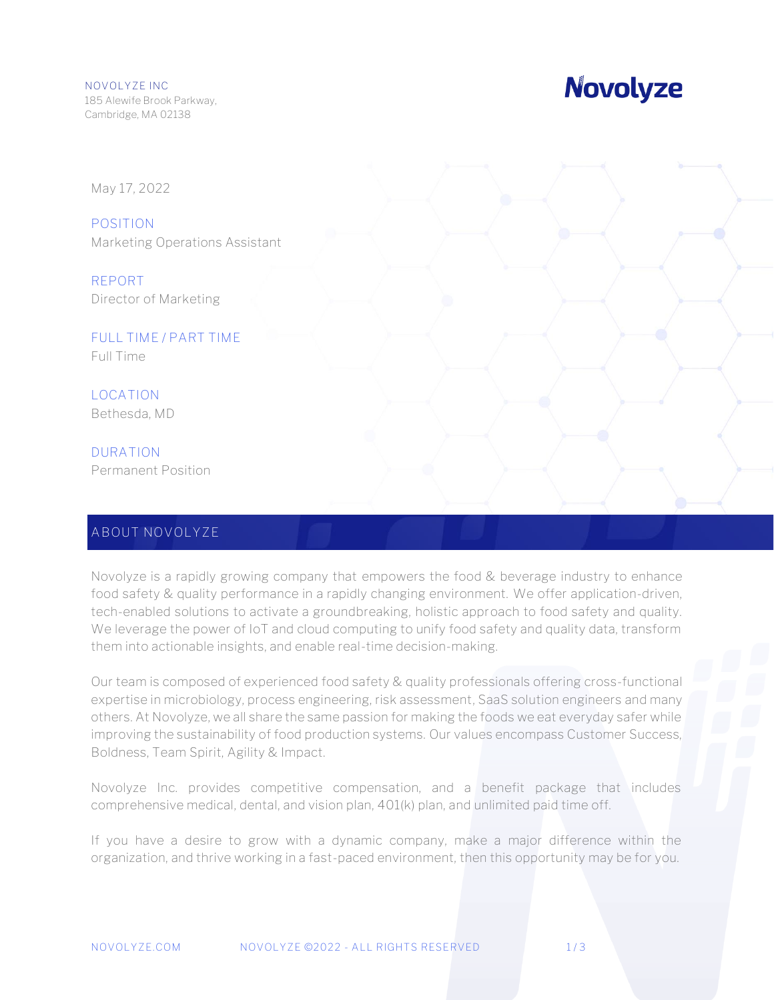# **Novolyze**

May 17, 2022

**POSITION** Marketing Operations Assistant

**REPORT** Director of Marketing

**FULL TIME / PART TIME** Full Time

**LOCATION** Bethesda, MD

**DURATION** Permanent Position

### **ABOUT NOVOLYZE**

Novolyze is a rapidly growing company that empowers the food & beverage industry to enhance food safety & quality performance in a rapidly changing environment. We offer application-driven, tech-enabled solutions to activate a groundbreaking, holistic approach to food safety and quality. We leverage the power of IoT and cloud computing to unify food safety and quality data, transform them into actionable insights, and enable real-time decision-making.

Our team is composed of experienced food safety & quality professionals offering cross-functional expertise in microbiology, process engineering, risk assessment, SaaS solution engineers and many others. At Novolyze, we all share the same passion for making the foods we eat everyday safer while improving the sustainability of food production systems. Our values encompass Customer Success, Boldness, Team Spirit, Agility & Impact.

Novolyze Inc. provides competitive compensation, and a benefit package that includes comprehensive medical, dental, and vision plan, 401(k) plan, and unlimited paid time off.

If you have a desire to grow with a dynamic company, make a major difference within the organization, and thrive working in a fast-paced environment, then this opportunity may be for you.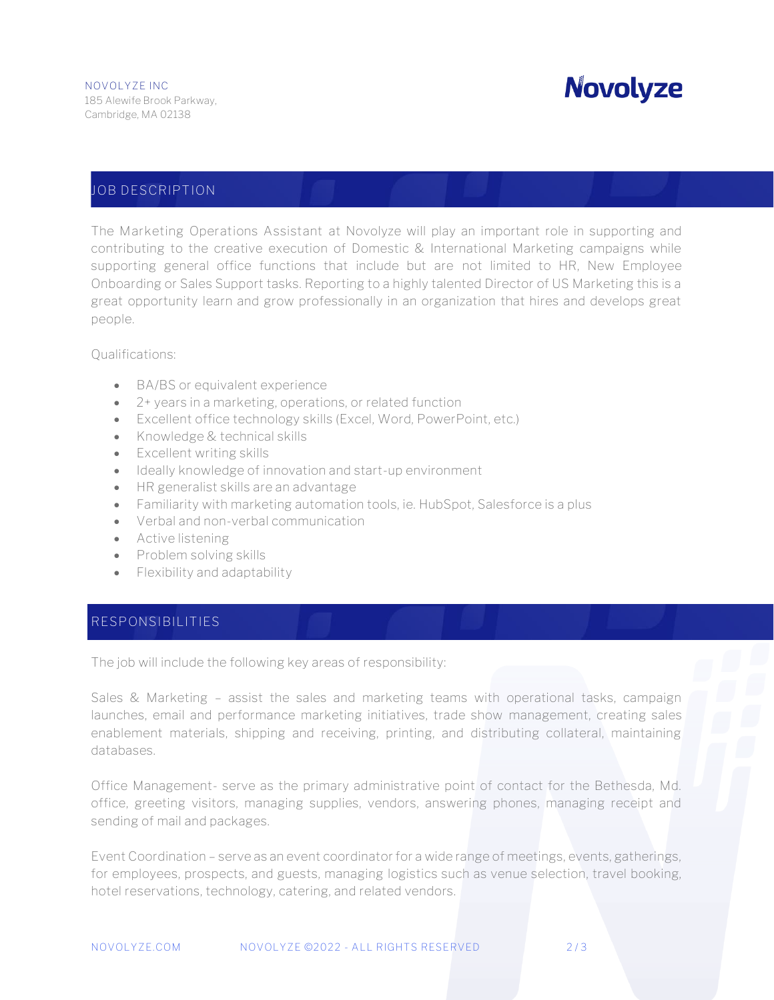# **Novolyze**

### **JOB DESCRIPTION**

The **Marketing Operations Assistant** at Novolyze will play an important role in supporting and contributing to the creative execution of Domestic & International Marketing campaigns while supporting general office functions that include but are not limited to HR, New Employee Onboarding or Sales Support tasks. Reporting to a highly talented Director of US Marketing this is a great opportunity learn and grow professionally in an organization that hires and develops great people.

Qualifications:

- BA/BS or equivalent experience
- 2+ years in a marketing, operations, or related function
- Excellent office technology skills (Excel, Word, PowerPoint, etc.)
- Knowledge & technical skills
- Excellent writing skills
- Ideally knowledge of innovation and start-up environment
- HR generalist skills are an advantage
- Familiarity with marketing automation tools, ie. HubSpot, Salesforce is a plus
- Verbal and non-verbal communication
- Active listening
- Problem solving skills
- Flexibility and adaptability

#### **RESPONSIBILITIES**

The job will include the following key areas of responsibility:

Sales & Marketing – assist the sales and marketing teams with operational tasks, campaign launches, email and performance marketing initiatives, trade show management, creating sales enablement materials, shipping and receiving, printing, and distributing collateral, maintaining databases.

Office Management- serve as the primary administrative point of contact for the Bethesda, Md. office, greeting visitors, managing supplies, vendors, answering phones, managing receipt and sending of mail and packages.

Event Coordination – serve as an event coordinator for a wide range of meetings, events, gatherings, for employees, prospects, and guests, managing logistics such as venue selection, travel booking, hotel reservations, technology, catering, and related vendors.